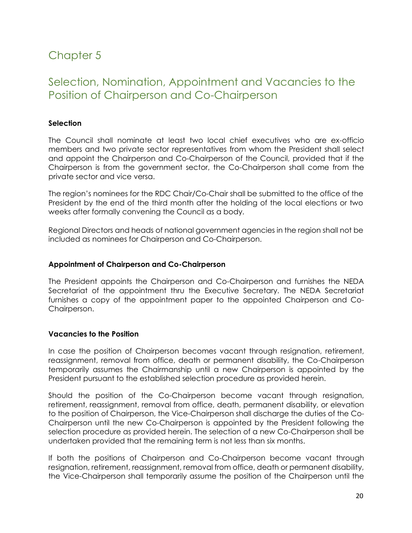# Chapter 5

# Selection, Nomination, Appointment and Vacancies to the Position of Chairperson and Co-Chairperson

## **Selection**

The Council shall nominate at least two local chief executives who are ex-officio members and two private sector representatives from whom the President shall select and appoint the Chairperson and Co-Chairperson of the Council, provided that if the Chairperson is from the government sector, the Co-Chairperson shall come from the private sector and vice versa.

The region's nominees for the RDC Chair/Co-Chair shall be submitted to the office of the President by the end of the third month after the holding of the local elections or two weeks after formally convening the Council as a body.

Regional Directors and heads of national government agencies in the region shall not be included as nominees for Chairperson and Co-Chairperson.

### **Appointment of Chairperson and Co-Chairperson**

The President appoints the Chairperson and Co-Chairperson and furnishes the NEDA Secretariat of the appointment thru the Executive Secretary. The NEDA Secretariat furnishes a copy of the appointment paper to the appointed Chairperson and Co-Chairperson.

### **Vacancies to the Position**

In case the position of Chairperson becomes vacant through resignation, retirement, reassignment, removal from office, death or permanent disability, the Co-Chairperson temporarily assumes the Chairmanship until a new Chairperson is appointed by the President pursuant to the established selection procedure as provided herein.

Should the position of the Co-Chairperson become vacant through resignation, retirement, reassignment, removal from office, death, permanent disability, or elevation to the position of Chairperson, the Vice-Chairperson shall discharge the duties of the Co-Chairperson until the new Co-Chairperson is appointed by the President following the selection procedure as provided herein. The selection of a new Co-Chairperson shall be undertaken provided that the remaining term is not less than six months.

If both the positions of Chairperson and Co-Chairperson become vacant through resignation, retirement, reassignment, removal from office, death or permanent disability, the Vice-Chairperson shall temporarily assume the position of the Chairperson until the